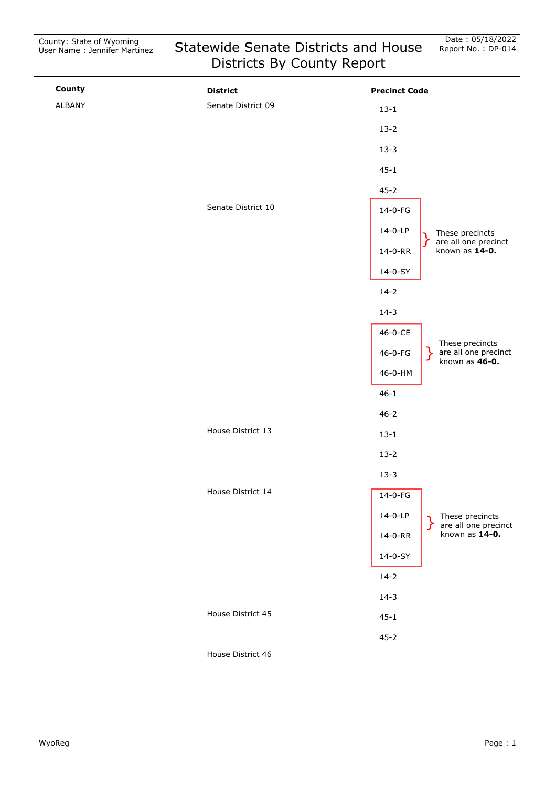| County | <b>District</b>    | <b>Precinct Code</b>                                                                                                                       |
|--------|--------------------|--------------------------------------------------------------------------------------------------------------------------------------------|
| ALBANY | Senate District 09 | $13 - 1$                                                                                                                                   |
|        |                    | $13-2$                                                                                                                                     |
|        |                    | $13 - 3$                                                                                                                                   |
|        |                    | $45 - 1$                                                                                                                                   |
|        |                    | $45 - 2$                                                                                                                                   |
|        | Senate District 10 | $14-0-FG$                                                                                                                                  |
|        |                    | 14-0-LP<br>These precincts                                                                                                                 |
|        |                    | are all one precinct<br>∫<br>known as $14-0$ .<br>14-0-RR                                                                                  |
|        |                    | 14-0-SY                                                                                                                                    |
|        |                    | $14 - 2$                                                                                                                                   |
|        |                    | $14-3$                                                                                                                                     |
|        |                    | 46-0-CE                                                                                                                                    |
|        |                    | These precincts<br>are all one precinct<br>known as <b>46-0.</b><br>46-0-FG                                                                |
|        |                    | 46-0-HM                                                                                                                                    |
|        |                    | $46 - 1$                                                                                                                                   |
|        |                    | $46 - 2$                                                                                                                                   |
|        | House District 13  | $13 - 1$                                                                                                                                   |
|        |                    | $13 - 2$                                                                                                                                   |
|        |                    | $13 - 3$                                                                                                                                   |
|        | House District 14  | $14-0-FG$                                                                                                                                  |
|        |                    | 14-0-LP                                                                                                                                    |
|        |                    | $\left.\begin{array}{l}\right\}\n\text{These precincts} \\ \text{are all one precinct} \\ \text{known as 14-0.} \\ \end{array}$<br>14-0-RR |
|        |                    | 14-0-SY                                                                                                                                    |
|        |                    | $14 - 2$                                                                                                                                   |
|        |                    | $14-3$                                                                                                                                     |
|        | House District 45  | $45 - 1$                                                                                                                                   |
|        |                    | $45 - 2$                                                                                                                                   |
|        |                    |                                                                                                                                            |

House District 46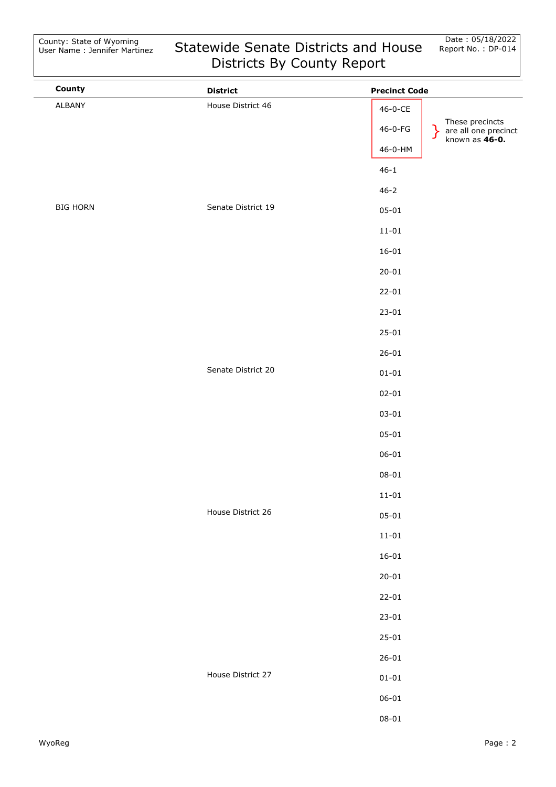| County          | <b>District</b>    | <b>Precinct Code</b>                                                                        |
|-----------------|--------------------|---------------------------------------------------------------------------------------------|
| ALBANY          | House District 46  | $46 - 0 - CE$                                                                               |
|                 |                    | These precincts<br>are all one precinct<br>known as <b>46-0.</b><br>46-0-FG<br><sup>}</sup> |
|                 |                    | 46-0-HM                                                                                     |
|                 |                    | $46 - 1$                                                                                    |
|                 |                    | $46 - 2$                                                                                    |
| <b>BIG HORN</b> | Senate District 19 | $05 - 01$                                                                                   |
|                 |                    | $11 - 01$                                                                                   |
|                 |                    | $16 - 01$                                                                                   |
|                 |                    | $20 - 01$                                                                                   |
|                 |                    | $22 - 01$                                                                                   |
|                 |                    | $23 - 01$                                                                                   |
|                 |                    | $25 - 01$                                                                                   |
|                 |                    | $26 - 01$                                                                                   |
|                 | Senate District 20 | $01 - 01$                                                                                   |
|                 |                    | $02 - 01$                                                                                   |
|                 |                    | $03 - 01$                                                                                   |
|                 |                    | $05 - 01$                                                                                   |
|                 |                    | $06 - 01$                                                                                   |
|                 |                    | $08 - 01$                                                                                   |
|                 |                    | $11 - 01$                                                                                   |
|                 | House District 26  | $05 - 01$                                                                                   |
|                 |                    | $11 - 01$                                                                                   |
|                 |                    | $16 - 01$                                                                                   |
|                 |                    | $20 - 01$                                                                                   |
|                 |                    | $22 - 01$                                                                                   |
|                 |                    | $23 - 01$                                                                                   |
|                 |                    | $25 - 01$                                                                                   |
|                 |                    | $26 - 01$                                                                                   |
|                 | House District 27  | $01 - 01$                                                                                   |
|                 |                    | $06 - 01$                                                                                   |
|                 |                    | $08 - 01$                                                                                   |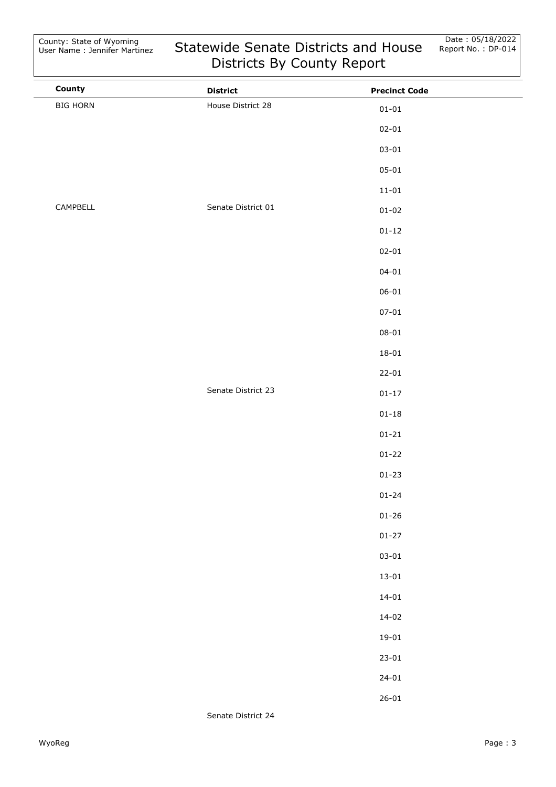| County          | <b>District</b>    | <b>Precinct Code</b> |
|-----------------|--------------------|----------------------|
| <b>BIG HORN</b> | House District 28  | $01 - 01$            |
|                 |                    | $02 - 01$            |
|                 |                    | $03 - 01$            |
|                 |                    | $05 - 01$            |
|                 |                    | $11 - 01$            |
| CAMPBELL        | Senate District 01 | $01 - 02$            |
|                 |                    | $01 - 12$            |
|                 |                    | $02 - 01$            |
|                 |                    | $04 - 01$            |
|                 |                    | $06 - 01$            |
|                 |                    | $07 - 01$            |
|                 |                    | $08 - 01$            |
|                 |                    | $18 - 01$            |
|                 |                    | $22 - 01$            |
|                 | Senate District 23 | $01 - 17$            |
|                 |                    | $01 - 18$            |
|                 |                    | $01 - 21$            |
|                 |                    | $01 - 22$            |
|                 |                    | $01 - 23$            |
|                 |                    | $01 - 24$            |
|                 |                    | $01 - 26$            |
|                 |                    | $01 - 27$            |
|                 |                    | $03 - 01$            |
|                 |                    | $13 - 01$            |
|                 |                    | $14 - 01$            |
|                 |                    | $14 - 02$            |
|                 |                    | $19 - 01$            |
|                 |                    | $23 - 01$            |
|                 |                    | $24 - 01$            |
|                 |                    | $26 - 01$            |
|                 |                    |                      |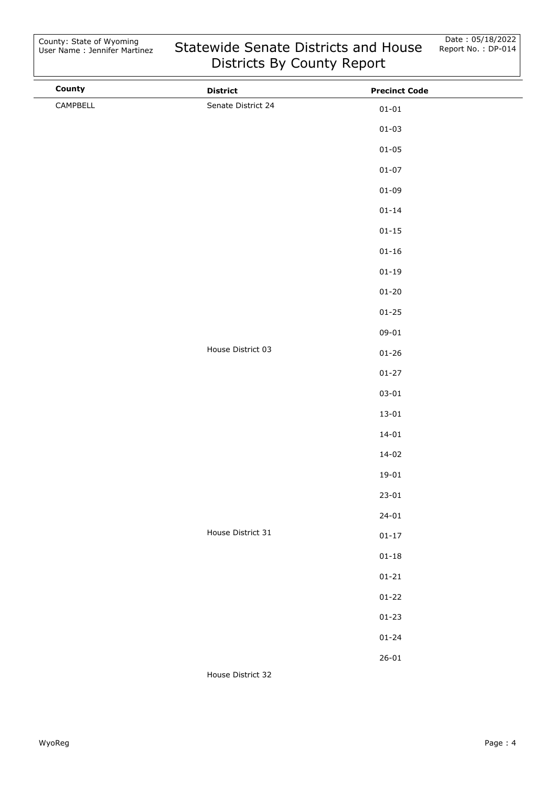| County   | <b>District</b>    | <b>Precinct Code</b> |  |
|----------|--------------------|----------------------|--|
| CAMPBELL | Senate District 24 | $01 - 01$            |  |
|          |                    | $01 - 03$            |  |
|          |                    | $01 - 05$            |  |
|          |                    | $01 - 07$            |  |
|          |                    | $01 - 09$            |  |
|          |                    | $01 - 14$            |  |
|          |                    | $01 - 15$            |  |
|          |                    | $01 - 16$            |  |
|          |                    | $01 - 19$            |  |
|          |                    | $01 - 20$            |  |
|          |                    | $01 - 25$            |  |
|          |                    | $09 - 01$            |  |
|          | House District 03  | $01 - 26$            |  |
|          |                    | $01 - 27$            |  |
|          |                    | $03 - 01$            |  |
|          |                    | $13 - 01$            |  |
|          |                    | $14 - 01$            |  |
|          |                    | $14 - 02$            |  |
|          |                    | $19 - 01$            |  |
|          |                    | $23 - 01$            |  |
|          |                    | $24 - 01$            |  |
|          | House District 31  | $01 - 17$            |  |
|          |                    | $01 - 18$            |  |
|          |                    | $01 - 21$            |  |
|          |                    | $01 - 22$            |  |
|          |                    | $01 - 23$            |  |
|          |                    | $01 - 24$            |  |
|          |                    | $26 - 01$            |  |
|          | House District 32  |                      |  |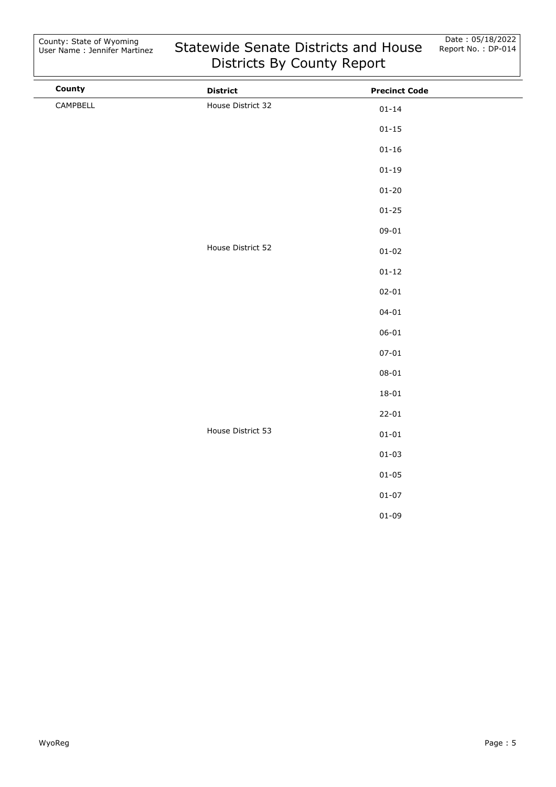| County   | <b>District</b>   | <b>Precinct Code</b> |  |
|----------|-------------------|----------------------|--|
| CAMPBELL | House District 32 | $01 - 14$            |  |
|          |                   | $01 - 15$            |  |
|          |                   | $01 - 16$            |  |
|          |                   | $01 - 19$            |  |
|          |                   | $01 - 20$            |  |
|          |                   | $01 - 25$            |  |
|          |                   | $09 - 01$            |  |
|          | House District 52 | $01 - 02$            |  |
|          |                   | $01 - 12$            |  |
|          |                   | $02 - 01$            |  |
|          |                   | $04 - 01$            |  |
|          |                   | $06 - 01$            |  |
|          |                   | $07 - 01$            |  |
|          |                   | $08 - 01$            |  |
|          |                   | $18 - 01$            |  |
|          |                   | $22 - 01$            |  |
|          | House District 53 | $01 - 01$            |  |
|          |                   | $01 - 03$            |  |
|          |                   | $01 - 05$            |  |
|          |                   | $01 - 07$            |  |
|          |                   | $01 - 09$            |  |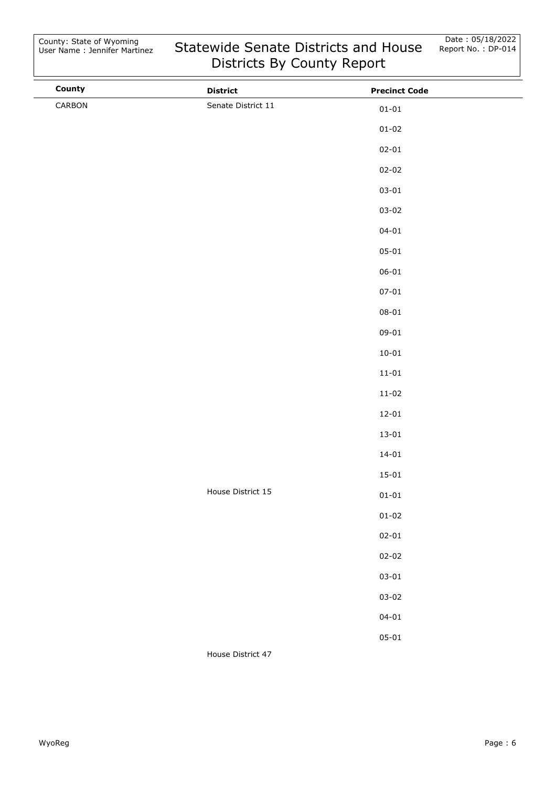| County | <b>District</b>    | <b>Precinct Code</b> |  |
|--------|--------------------|----------------------|--|
| CARBON | Senate District 11 | $01 - 01$            |  |
|        |                    | $01 - 02$            |  |
|        |                    | $02 - 01$            |  |
|        |                    | $02 - 02$            |  |
|        |                    | $03 - 01$            |  |
|        |                    | $03 - 02$            |  |
|        |                    | $04 - 01$            |  |
|        |                    | $05 - 01$            |  |
|        |                    | $06 - 01$            |  |
|        |                    | $07 - 01$            |  |
|        |                    | $08 - 01$            |  |
|        |                    | $09 - 01$            |  |
|        |                    | $10 - 01$            |  |
|        |                    | $11 - 01$            |  |
|        |                    | $11 - 02$            |  |
|        |                    | $12 - 01$            |  |
|        |                    | $13 - 01$            |  |
|        |                    | $14 - 01$            |  |
|        |                    | $15 - 01$            |  |
|        | House District 15  | $01 - 01$            |  |
|        |                    | $01 - 02$            |  |
|        |                    | $02 - 01$            |  |
|        |                    | $02 - 02$            |  |
|        |                    | $03 - 01$            |  |
|        |                    | $03 - 02$            |  |
|        |                    | $04 - 01$            |  |
|        |                    | $05 - 01$            |  |
|        | House District 47  |                      |  |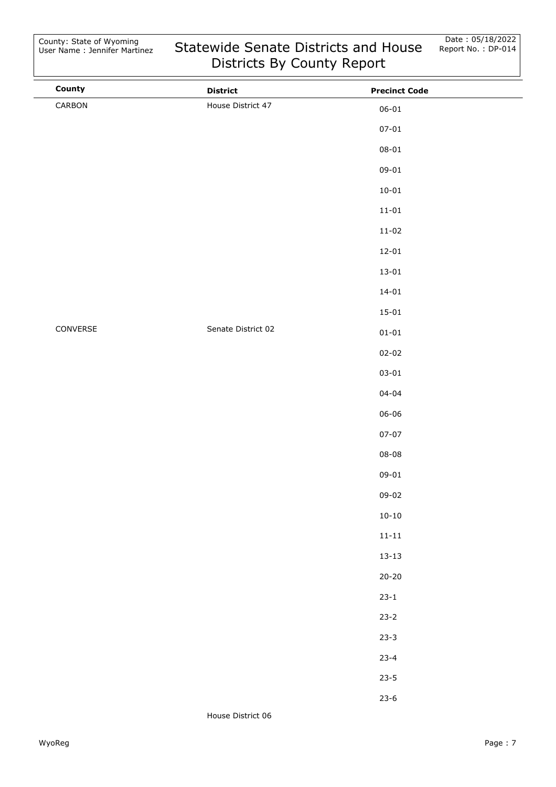| County   | <b>District</b>    | <b>Precinct Code</b> |  |
|----------|--------------------|----------------------|--|
| CARBON   | House District 47  | $06 - 01$            |  |
|          |                    | $07 - 01$            |  |
|          |                    | $08 - 01$            |  |
|          |                    | $09 - 01$            |  |
|          |                    | $10 - 01$            |  |
|          |                    | $11 - 01$            |  |
|          |                    | $11 - 02$            |  |
|          |                    | $12 - 01$            |  |
|          |                    | $13 - 01$            |  |
|          |                    | $14 - 01$            |  |
|          |                    | $15 - 01$            |  |
| CONVERSE | Senate District 02 | $01 - 01$            |  |
|          |                    | $02 - 02$            |  |
|          |                    | $03 - 01$            |  |
|          |                    | $04 - 04$            |  |
|          |                    | $06 - 06$            |  |
|          |                    | $07 - 07$            |  |
|          |                    | $08 - 08$            |  |
|          |                    | $09 - 01$            |  |
|          |                    | $09 - 02$            |  |
|          |                    | $10 - 10$            |  |
|          |                    | $11 - 11$            |  |
|          |                    | $13 - 13$            |  |
|          |                    | $20 - 20$            |  |
|          |                    | $23 - 1$             |  |
|          |                    | $23 - 2$             |  |
|          |                    | $23 - 3$             |  |
|          |                    | $23 - 4$             |  |
|          |                    | $23 - 5$             |  |
|          |                    | $23-6$               |  |

House District 06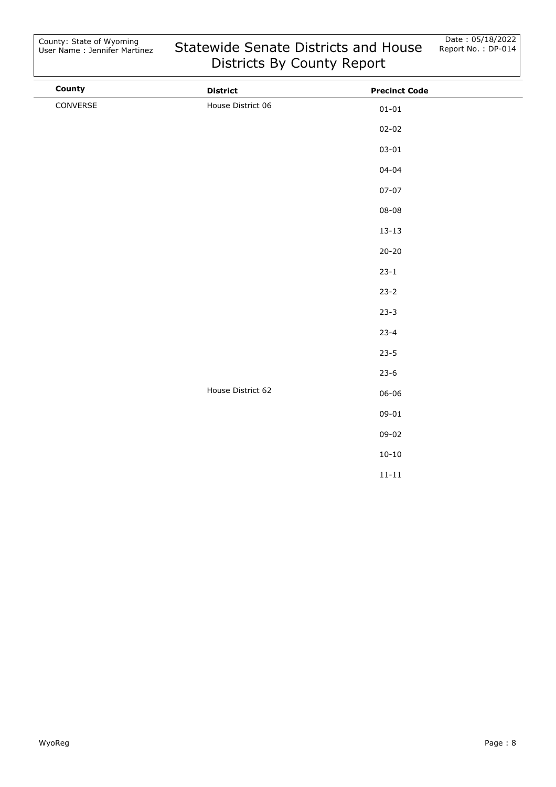| County   | <b>District</b>   | <b>Precinct Code</b> |  |
|----------|-------------------|----------------------|--|
| CONVERSE | House District 06 | $01 - 01$            |  |
|          |                   | $02 - 02$            |  |
|          |                   | $03 - 01$            |  |
|          |                   | $04 - 04$            |  |
|          |                   | $07 - 07$            |  |
|          |                   | $08 - 08$            |  |
|          |                   | $13 - 13$            |  |
|          |                   | $20 - 20$            |  |
|          |                   | $23 - 1$             |  |
|          |                   | $23 - 2$             |  |
|          |                   | $23 - 3$             |  |
|          |                   | $23 - 4$             |  |
|          |                   | $23 - 5$             |  |
|          |                   | $23 - 6$             |  |
|          | House District 62 | $06 - 06$            |  |
|          |                   | $09 - 01$            |  |
|          |                   | 09-02                |  |
|          |                   | $10 - 10$            |  |
|          |                   | $11 - 11$            |  |
|          |                   |                      |  |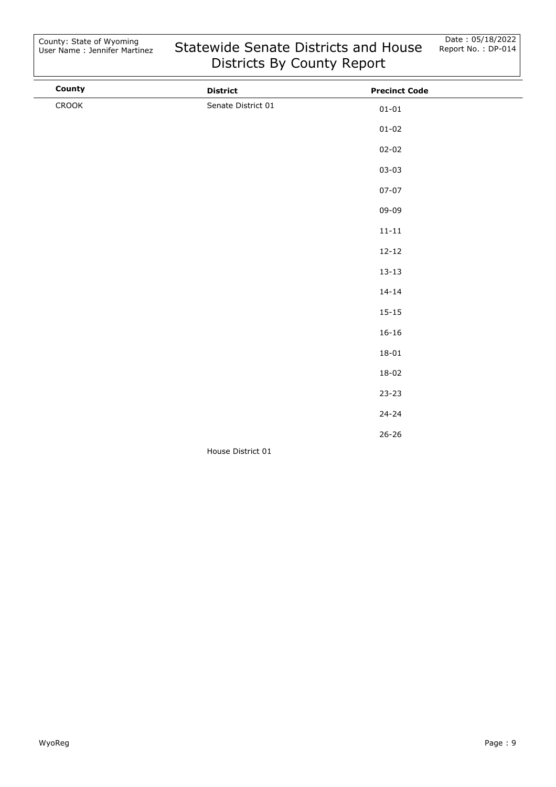| County | <b>District</b>    | <b>Precinct Code</b> |  |
|--------|--------------------|----------------------|--|
| CROOK  | Senate District 01 | $01 - 01$            |  |
|        |                    | $01 - 02$            |  |
|        |                    | $02 - 02$            |  |
|        |                    | $03 - 03$            |  |
|        |                    | $07 - 07$            |  |
|        |                    | 09-09                |  |
|        |                    | $11 - 11$            |  |
|        |                    | $12 - 12$            |  |
|        |                    | $13 - 13$            |  |
|        |                    | $14 - 14$            |  |
|        |                    | $15 - 15$            |  |
|        |                    | $16 - 16$            |  |
|        |                    | $18 - 01$            |  |
|        |                    | $18 - 02$            |  |
|        |                    | $23 - 23$            |  |
|        |                    | $24 - 24$            |  |
|        |                    | $26 - 26$            |  |
|        | House District 01  |                      |  |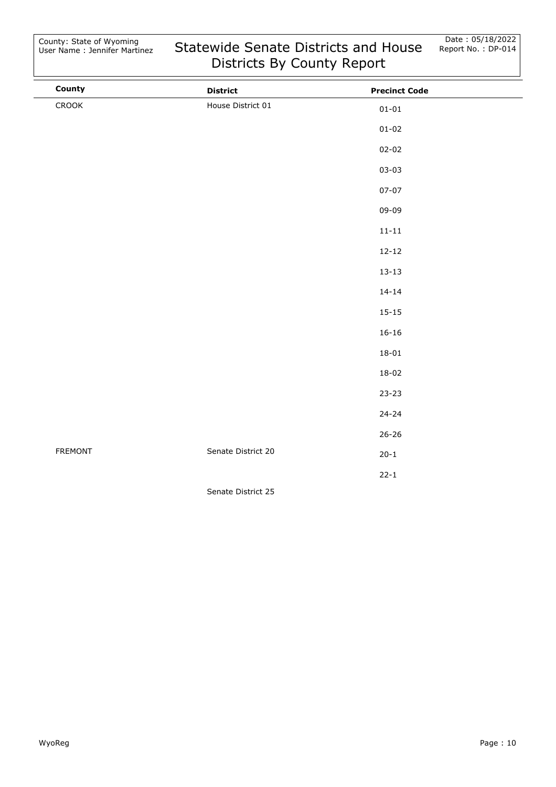| County         | <b>District</b>    | <b>Precinct Code</b> |  |
|----------------|--------------------|----------------------|--|
| CROOK          | House District 01  | $01 - 01$            |  |
|                |                    | $01 - 02$            |  |
|                |                    | $02 - 02$            |  |
|                |                    | $03 - 03$            |  |
|                |                    | $07 - 07$            |  |
|                |                    | 09-09                |  |
|                |                    | $11 - 11$            |  |
|                |                    | $12 - 12$            |  |
|                |                    | $13 - 13$            |  |
|                |                    | $14 - 14$            |  |
|                |                    | $15 - 15$            |  |
|                |                    | $16 - 16$            |  |
|                |                    | $18 - 01$            |  |
|                |                    | $18 - 02$            |  |
|                |                    | $23 - 23$            |  |
|                |                    | $24 - 24$            |  |
|                |                    | $26 - 26$            |  |
| <b>FREMONT</b> | Senate District 20 | $20 - 1$             |  |
|                |                    | $22 - 1$             |  |
|                | Senate District 25 |                      |  |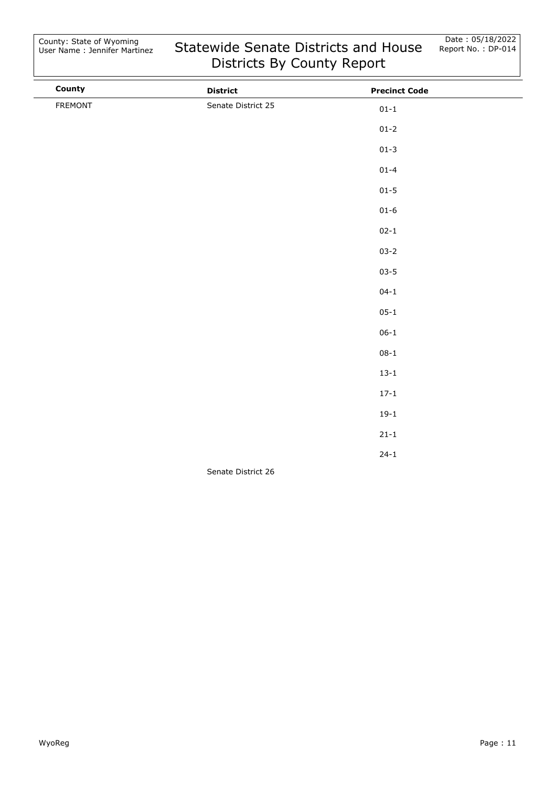| County  | <b>District</b>    | <b>Precinct Code</b> |  |
|---------|--------------------|----------------------|--|
| FREMONT | Senate District 25 | $01 - 1$             |  |
|         |                    | $01 - 2$             |  |
|         |                    | $01 - 3$             |  |
|         |                    | $01 - 4$             |  |
|         |                    | $01 - 5$             |  |
|         |                    | $01 - 6$             |  |
|         |                    | $02 - 1$             |  |
|         |                    | $03 - 2$             |  |
|         |                    | $03 - 5$             |  |
|         |                    | $04 - 1$             |  |
|         |                    | $05 - 1$             |  |
|         |                    | $06 - 1$             |  |
|         |                    | $08 - 1$             |  |
|         |                    | $13 - 1$             |  |
|         |                    | $17 - 1$             |  |
|         |                    | $19-1$               |  |
|         |                    | $21 - 1$             |  |
|         |                    | $24 - 1$             |  |
|         | Senate District 26 |                      |  |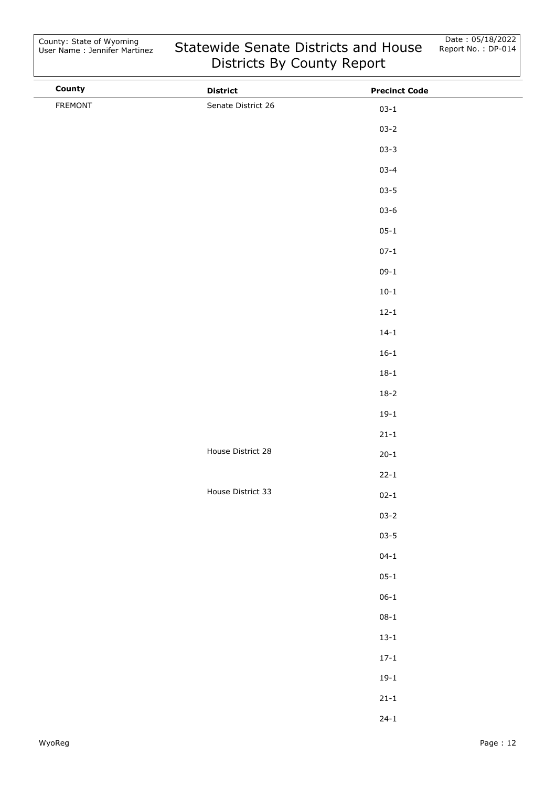| County  | <b>District</b>    | <b>Precinct Code</b> |
|---------|--------------------|----------------------|
| FREMONT | Senate District 26 | $03 - 1$             |
|         |                    | $03 - 2$             |
|         |                    | $03 - 3$             |
|         |                    | $03 - 4$             |
|         |                    | $03 - 5$             |
|         |                    | $03 - 6$             |
|         |                    | $05 - 1$             |
|         |                    | $07 - 1$             |
|         |                    | $09-1$               |
|         |                    | $10 - 1$             |
|         |                    | $12 - 1$             |
|         |                    | $14 - 1$             |
|         |                    | $16 - 1$             |
|         |                    | $18 - 1$             |
|         |                    | $18 - 2$             |
|         |                    | $19-1$               |
|         |                    | $21 - 1$             |
|         | House District 28  | $20 - 1$             |
|         |                    | $22 - 1$             |
|         | House District 33  | $02 - 1$             |
|         |                    | $03 - 2$             |
|         |                    | $03 - 5$             |
|         |                    | $04 - 1$             |
|         |                    | $05 - 1$             |
|         |                    | $06-1$               |
|         |                    | $08 - 1$             |
|         |                    | $13 - 1$             |
|         |                    | $17 - 1$             |
|         |                    | $19-1$               |
|         |                    | $21 - 1$             |
|         |                    | $24 - 1$             |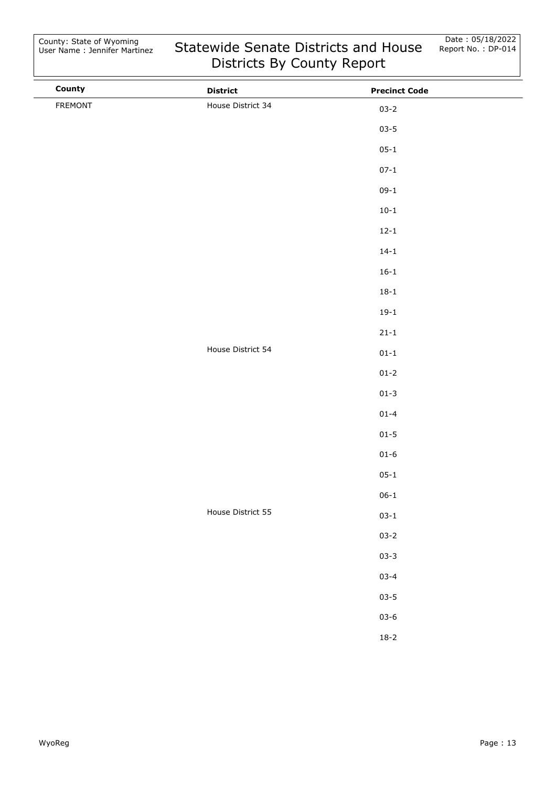| County  | <b>District</b>   | <b>Precinct Code</b> |
|---------|-------------------|----------------------|
| FREMONT | House District 34 | $03 - 2$             |
|         |                   | $03 - 5$             |
|         |                   | $05 - 1$             |
|         |                   | $07 - 1$             |
|         |                   | $09-1$               |
|         |                   | $10 - 1$             |
|         |                   | $12 - 1$             |
|         |                   | $14 - 1$             |
|         |                   | $16 - 1$             |
|         |                   | $18 - 1$             |
|         |                   | $19-1$               |
|         |                   | $21 - 1$             |
|         | House District 54 | $01 - 1$             |
|         |                   | $01 - 2$             |
|         |                   | $01 - 3$             |
|         |                   | $01 - 4$             |
|         |                   | $01 - 5$             |
|         |                   | $01 - 6$             |
|         |                   | $05 - 1$             |
|         |                   | $06 - 1$             |
|         | House District 55 | $03 - 1$             |
|         |                   | $03 - 2$             |
|         |                   | $03 - 3$             |
|         |                   | $03 - 4$             |
|         |                   | $03 - 5$             |
|         |                   | $03 - 6$             |
|         |                   | $18-2$               |
|         |                   |                      |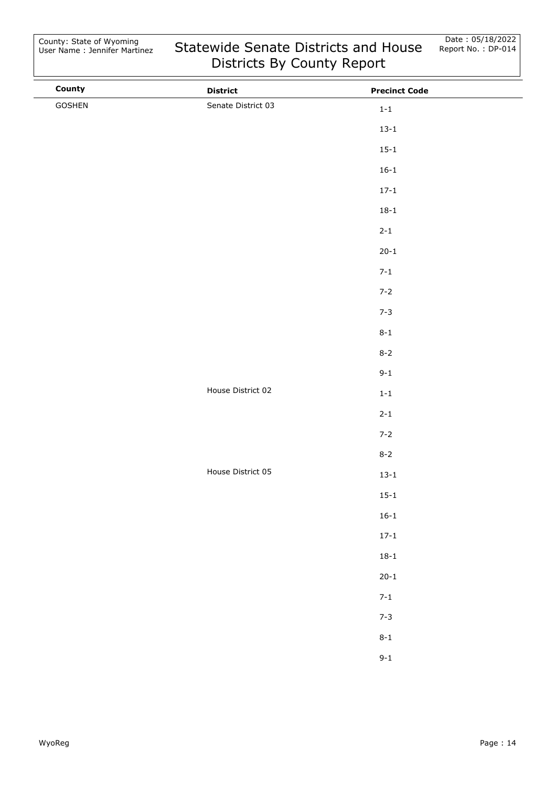| County | <b>District</b>    | <b>Precinct Code</b> |  |
|--------|--------------------|----------------------|--|
| GOSHEN | Senate District 03 | $1-1\,$              |  |
|        |                    | $13 - 1$             |  |
|        |                    | $15 - 1$             |  |
|        |                    | $16 - 1$             |  |
|        |                    | $17 - 1$             |  |
|        |                    | $18 - 1$             |  |
|        |                    | $2 - 1$              |  |
|        |                    | $20 - 1$             |  |
|        |                    | $7 - 1$              |  |
|        |                    | $7 - 2$              |  |
|        |                    | $7 - 3$              |  |
|        |                    | $8 - 1$              |  |
|        |                    | $8 - 2$              |  |
|        |                    | $9 - 1$              |  |
|        | House District 02  | $1\mbox{-}1$         |  |
|        |                    | $2 - 1$              |  |
|        |                    | $7 - 2$              |  |
|        |                    | $8 - 2$              |  |
|        | House District 05  | $13 - 1$             |  |
|        |                    | $15 - 1$             |  |
|        |                    | $16 - 1$             |  |
|        |                    | $17 - 1$             |  |
|        |                    | $18 - 1$             |  |
|        |                    | $20 - 1$             |  |
|        |                    | $7 - 1$              |  |
|        |                    | $7 - 3$              |  |
|        |                    | $8-1$                |  |
|        |                    | $9 - 1$              |  |
|        |                    |                      |  |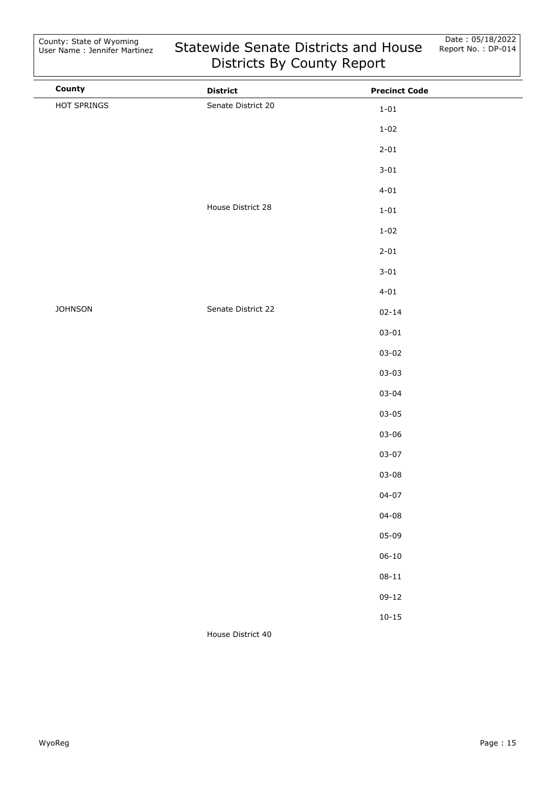| County         | <b>District</b>    | <b>Precinct Code</b> |
|----------------|--------------------|----------------------|
| HOT SPRINGS    | Senate District 20 | $1 - 01$             |
|                |                    | $1 - 02$             |
|                |                    | $2 - 01$             |
|                |                    | $3 - 01$             |
|                |                    | $4 - 01$             |
|                | House District 28  | $1 - 01$             |
|                |                    | $1 - 02$             |
|                |                    | $2 - 01$             |
|                |                    | $3 - 01$             |
|                |                    | $4 - 01$             |
| <b>JOHNSON</b> | Senate District 22 | $02 - 14$            |
|                |                    | $03 - 01$            |
|                |                    | $03 - 02$            |
|                |                    | $03 - 03$            |
|                |                    | $03 - 04$            |
|                |                    | $03 - 05$            |
|                |                    | $03 - 06$            |
|                |                    | $03 - 07$            |
|                |                    | $03 - 08$            |
|                |                    | $04 - 07$            |
|                |                    | $04 - 08$            |
|                |                    | $05 - 09$            |
|                |                    | $06 - 10$            |
|                |                    | $08 - 11$            |
|                |                    | $09 - 12$            |
|                |                    | $10 - 15$            |
|                | House District 40  |                      |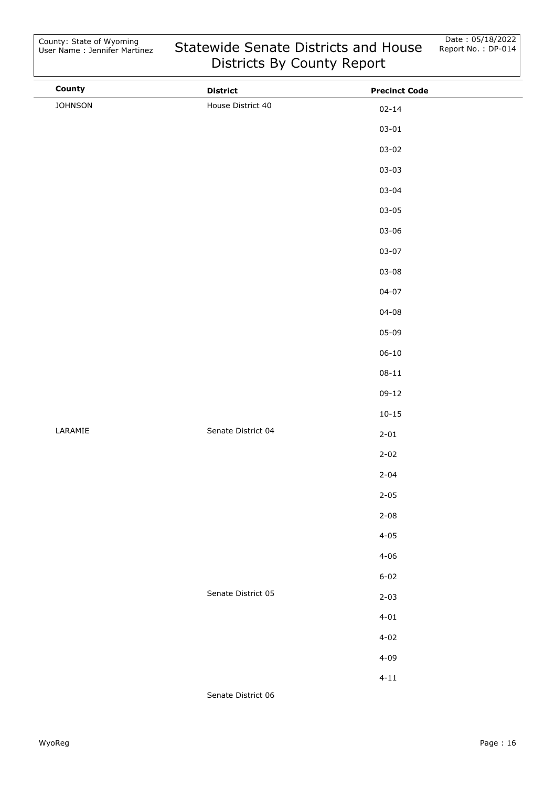| County         | <b>District</b>    | <b>Precinct Code</b> |  |
|----------------|--------------------|----------------------|--|
| <b>JOHNSON</b> | House District 40  | $02 - 14$            |  |
|                |                    | $03 - 01$            |  |
|                |                    | $03 - 02$            |  |
|                |                    | $03 - 03$            |  |
|                |                    | $03 - 04$            |  |
|                |                    | $03 - 05$            |  |
|                |                    | $03 - 06$            |  |
|                |                    | $03 - 07$            |  |
|                |                    | $03 - 08$            |  |
|                |                    | $04 - 07$            |  |
|                |                    | $04 - 08$            |  |
|                |                    | $05 - 09$            |  |
|                |                    | $06 - 10$            |  |
|                |                    | $08 - 11$            |  |
|                |                    | $09 - 12$            |  |
|                |                    | $10 - 15$            |  |
| LARAMIE        | Senate District 04 | $2 - 01$             |  |
|                |                    | $2 - 02$             |  |
|                |                    | $2 - 04$             |  |
|                |                    | $2 - 05$             |  |
|                |                    | $2 - 08$             |  |
|                |                    | $4 - 05$             |  |
|                |                    | $4 - 06$             |  |
|                |                    | $6 - 02$             |  |
|                | Senate District 05 | $2 - 03$             |  |
|                |                    | $4 - 01$             |  |
|                |                    | $4 - 02$             |  |
|                |                    | $4 - 09$             |  |
|                |                    | $4 - 11$             |  |
|                | Senate District 06 |                      |  |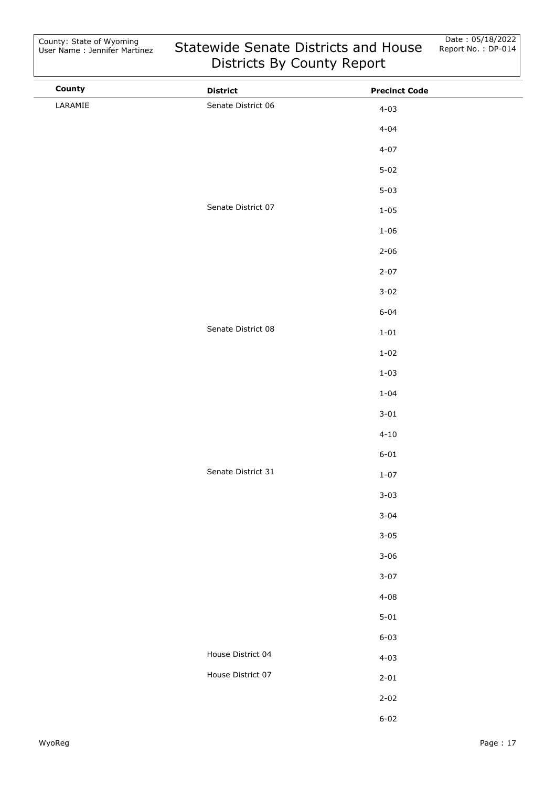| County  | <b>District</b>    | <b>Precinct Code</b> |
|---------|--------------------|----------------------|
| LARAMIE | Senate District 06 | $4 - 03$             |
|         |                    | $4 - 04$             |
|         |                    | $4 - 07$             |
|         |                    | $5 - 02$             |
|         |                    | $5 - 03$             |
|         | Senate District 07 | $1 - 05$             |
|         |                    | $1 - 06$             |
|         |                    | $2 - 06$             |
|         |                    | $2 - 07$             |
|         |                    | $3 - 02$             |
|         |                    | $6 - 04$             |
|         | Senate District 08 | $1 - 01$             |
|         |                    | $1 - 02$             |
|         |                    | $1 - 03$             |
|         |                    | $1 - 04$             |
|         |                    | $3 - 01$             |
|         |                    | $4 - 10$             |
|         |                    | $6 - 01$             |
|         | Senate District 31 | $1 - 07$             |
|         |                    | $3 - 03$             |
|         |                    | $3 - 04$             |
|         |                    | $3 - 05$             |
|         |                    | $3 - 06$             |
|         |                    | $3 - 07$             |
|         |                    | $4 - 08$             |
|         |                    | $5 - 01$             |
|         |                    | $6 - 03$             |
|         | House District 04  | $4 - 03$             |
|         | House District 07  | $2 - 01$             |
|         |                    | $2 - 02$             |
|         |                    | $6 - 02$             |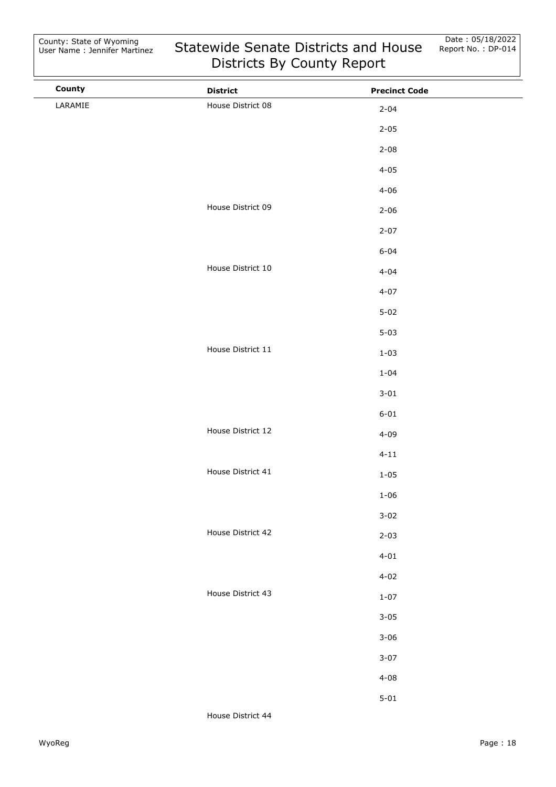| County  | <b>District</b>   | <b>Precinct Code</b> |  |
|---------|-------------------|----------------------|--|
| LARAMIE | House District 08 | $2 - 04$             |  |
|         |                   | $2 - 05$             |  |
|         |                   | $2 - 08$             |  |
|         |                   | $4 - 05$             |  |
|         |                   | $4 - 06$             |  |
|         | House District 09 | $2 - 06$             |  |
|         |                   | $2 - 07$             |  |
|         |                   | $6 - 04$             |  |
|         | House District 10 | $4 - 04$             |  |
|         |                   | $4 - 07$             |  |
|         |                   | $5 - 02$             |  |
|         |                   | $5 - 03$             |  |
|         | House District 11 | $1 - 03$             |  |
|         |                   | $1 - 04$             |  |
|         |                   | $3 - 01$             |  |
|         |                   | $6 - 01$             |  |
|         | House District 12 | $4 - 09$             |  |
|         |                   | $4 - 11$             |  |
|         | House District 41 | $1 - 05$             |  |
|         |                   | $1 - 06$             |  |
|         |                   | $3 - 02$             |  |
|         | House District 42 | $2 - 03$             |  |
|         |                   | $4 - 01$             |  |
|         |                   | $4 - 02$             |  |
|         | House District 43 | $1 - 07$             |  |
|         |                   | $3 - 05$             |  |
|         |                   | $3 - 06$             |  |
|         |                   | $3 - 07$             |  |
|         |                   | $4 - 08$             |  |
|         |                   | $5 - 01$             |  |
|         |                   |                      |  |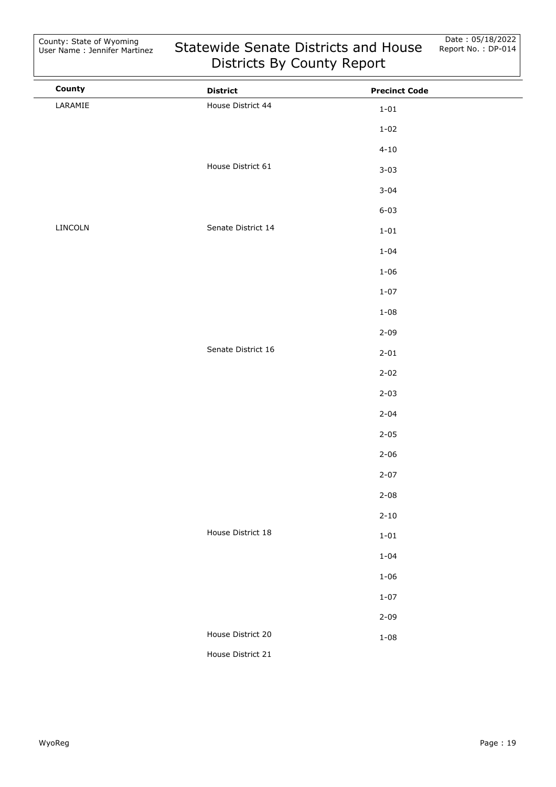| County  | <b>District</b>    | <b>Precinct Code</b> |  |
|---------|--------------------|----------------------|--|
| LARAMIE | House District 44  | $1 - 01$             |  |
|         |                    | $1 - 02$             |  |
|         |                    | $4 - 10$             |  |
|         | House District 61  | $3 - 03$             |  |
|         |                    | $3 - 04$             |  |
|         |                    | $6 - 03$             |  |
| LINCOLN | Senate District 14 | $1 - 01$             |  |
|         |                    | $1 - 04$             |  |
|         |                    | $1 - 06$             |  |
|         |                    | $1 - 07$             |  |
|         |                    | $1 - 08$             |  |
|         |                    | $2 - 09$             |  |
|         | Senate District 16 | $2 - 01$             |  |
|         |                    | $2 - 02$             |  |
|         |                    | $2 - 03$             |  |
|         |                    | $2 - 04$             |  |
|         |                    | $2 - 05$             |  |
|         |                    | $2 - 06$             |  |
|         |                    | $2 - 07$             |  |
|         |                    | $2 - 08$             |  |
|         |                    | $2 - 10$             |  |
|         | House District 18  | $1 - 01$             |  |
|         |                    | $1 - 04$             |  |
|         |                    | $1 - 06$             |  |
|         |                    | $1 - 07$             |  |
|         |                    | $2 - 09$             |  |
|         | House District 20  | $1 - 08$             |  |
|         | House District 21  |                      |  |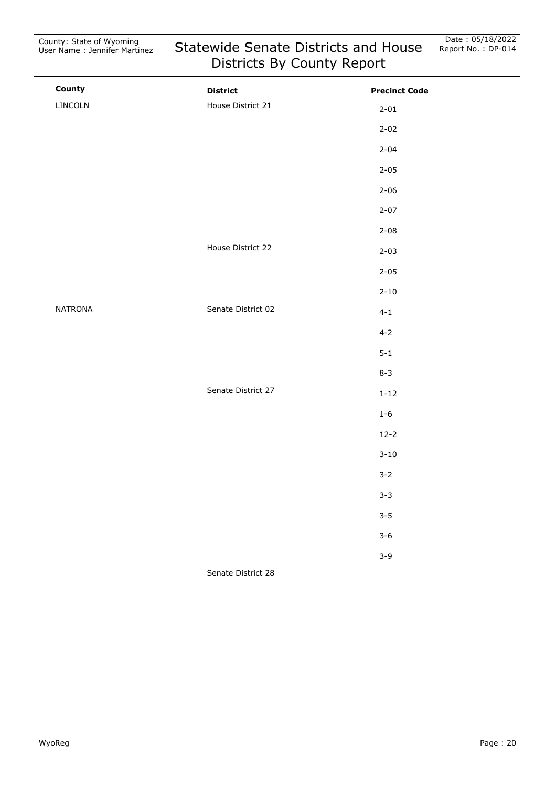$\overline{a}$ 

| County         | <b>District</b>    | <b>Precinct Code</b> |  |
|----------------|--------------------|----------------------|--|
| LINCOLN        | House District 21  | $2 - 01$             |  |
|                |                    | $2 - 02$             |  |
|                |                    | $2 - 04$             |  |
|                |                    | $2 - 05$             |  |
|                |                    | $2 - 06$             |  |
|                |                    | $2 - 07$             |  |
|                |                    | $2 - 08$             |  |
|                | House District 22  | $2 - 03$             |  |
|                |                    | $2 - 05$             |  |
|                |                    | $2 - 10$             |  |
| <b>NATRONA</b> | Senate District 02 | $4 - 1$              |  |
|                |                    | $4 - 2$              |  |
|                |                    | $5 - 1$              |  |
|                |                    | $8 - 3$              |  |
|                | Senate District 27 | $1 - 12$             |  |
|                |                    | $1 - 6$              |  |
|                |                    | $12 - 2$             |  |
|                |                    | $3 - 10$             |  |
|                |                    | $3 - 2$              |  |
|                |                    | $3 - 3$              |  |
|                |                    | $3 - 5$              |  |
|                |                    | $3 - 6$              |  |
|                |                    | $3 - 9$              |  |
|                | Senate District 28 |                      |  |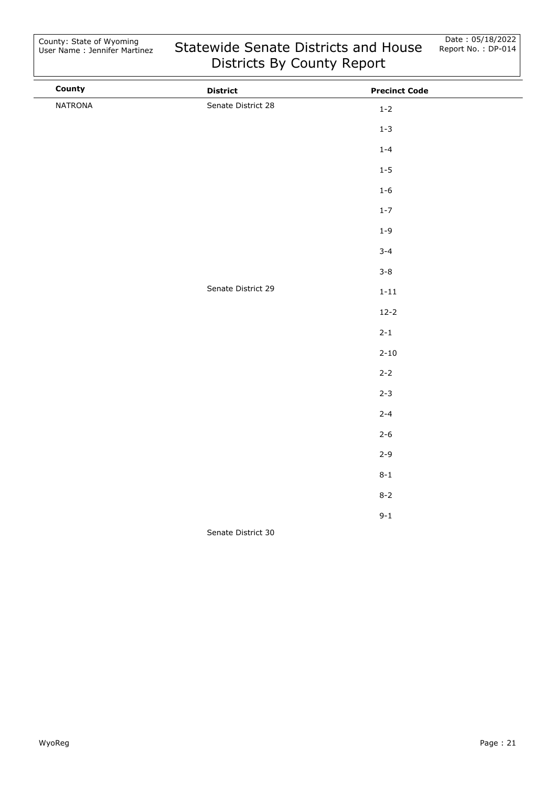| County  | <b>District</b>    | <b>Precinct Code</b> |  |
|---------|--------------------|----------------------|--|
| NATRONA | Senate District 28 | $1 - 2$              |  |
|         |                    | $1 - 3$              |  |
|         |                    | $1 - 4$              |  |
|         |                    | $1 - 5$              |  |
|         |                    | $1 - 6$              |  |
|         |                    | $1 - 7$              |  |
|         |                    | $1 - 9$              |  |
|         |                    | $3 - 4$              |  |
|         |                    | $3 - 8$              |  |
|         | Senate District 29 | $1 - 11$             |  |
|         |                    | $12 - 2$             |  |
|         |                    | $2 - 1$              |  |
|         |                    | $2 - 10$             |  |
|         |                    | $2 - 2$              |  |
|         |                    | $2 - 3$              |  |
|         |                    | $2 - 4$              |  |
|         |                    | $2 - 6$              |  |
|         |                    | $2 - 9$              |  |
|         |                    | $8 - 1$              |  |
|         |                    | $8 - 2$              |  |
|         |                    | $9 - 1$              |  |
|         | Senate District 30 |                      |  |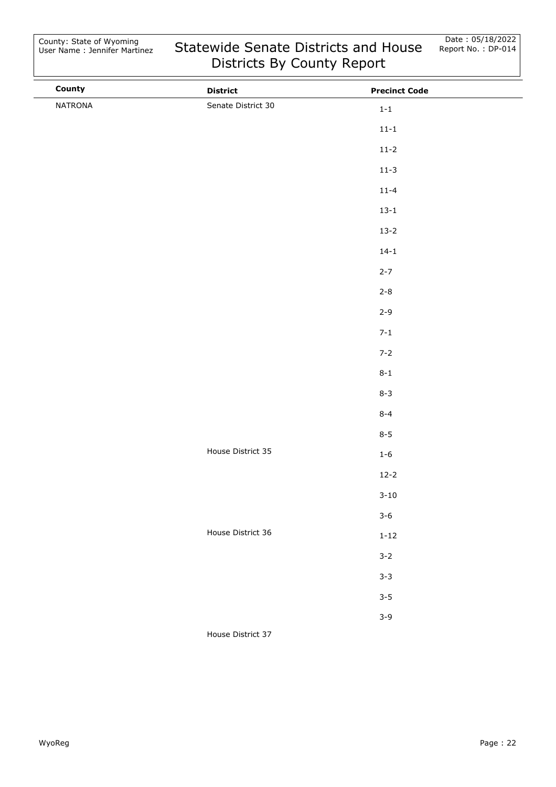| County  | <b>District</b>    | <b>Precinct Code</b> |  |
|---------|--------------------|----------------------|--|
| NATRONA | Senate District 30 | $1-1$                |  |
|         |                    | $11 - 1$             |  |
|         |                    | $11-2$               |  |
|         |                    | $11-3$               |  |
|         |                    | $11 - 4$             |  |
|         |                    | $13 - 1$             |  |
|         |                    | $13 - 2$             |  |
|         |                    | $14 - 1$             |  |
|         |                    | $2 - 7$              |  |
|         |                    | $2 - 8$              |  |
|         |                    | $2 - 9$              |  |
|         |                    | $7 - 1$              |  |
|         |                    | $7 - 2$              |  |
|         |                    | $8 - 1$              |  |
|         |                    | $8 - 3$              |  |
|         |                    | $8 - 4$              |  |
|         |                    | $8 - 5$              |  |
|         | House District 35  | $1 - 6$              |  |
|         |                    | $12 - 2$             |  |
|         |                    | $3 - 10$             |  |
|         |                    | $3 - 6$              |  |
|         | House District 36  | $1 - 12$             |  |
|         |                    | $3 - 2$              |  |
|         |                    | $3 - 3$              |  |
|         |                    | $3 - 5$              |  |
|         |                    | $3 - 9$              |  |
|         | House District 37  |                      |  |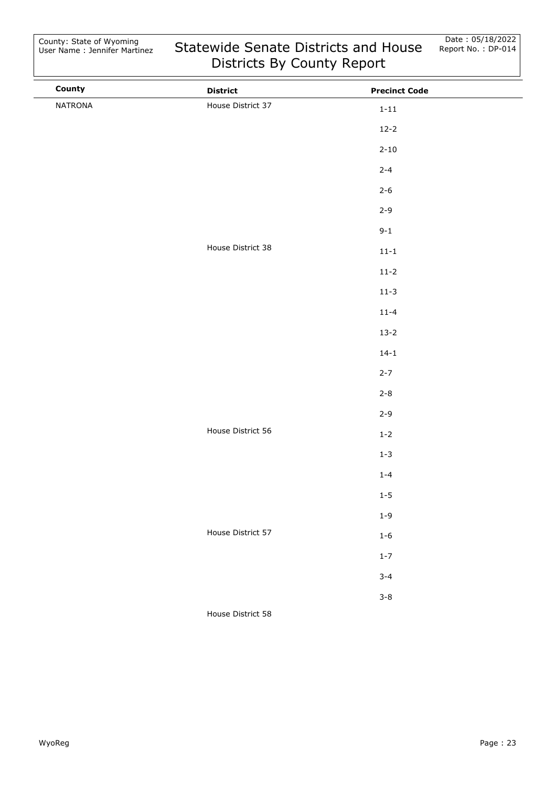| County  | <b>District</b>   | <b>Precinct Code</b> |  |
|---------|-------------------|----------------------|--|
| NATRONA | House District 37 | $1 - 11$             |  |
|         |                   | $12 - 2$             |  |
|         |                   | $2 - 10$             |  |
|         |                   | $2 - 4$              |  |
|         |                   | $2 - 6$              |  |
|         |                   | $2 - 9$              |  |
|         |                   | $9 - 1$              |  |
|         | House District 38 | $11 - 1$             |  |
|         |                   | $11 - 2$             |  |
|         |                   | $11-3$               |  |
|         |                   | $11 - 4$             |  |
|         |                   | $13 - 2$             |  |
|         |                   | $14 - 1$             |  |
|         |                   | $2 - 7$              |  |
|         |                   | $2 - 8$              |  |
|         |                   | $2 - 9$              |  |
|         | House District 56 | $1-2$                |  |
|         |                   | $1 - 3$              |  |
|         |                   | $1 - 4$              |  |
|         |                   | $1-5$                |  |
|         |                   | $1 - 9$              |  |
|         | House District 57 | $1 - 6$              |  |
|         |                   | $1 - 7$              |  |
|         |                   | $3 - 4$              |  |
|         |                   | $3 - 8$              |  |
|         |                   |                      |  |

House District 58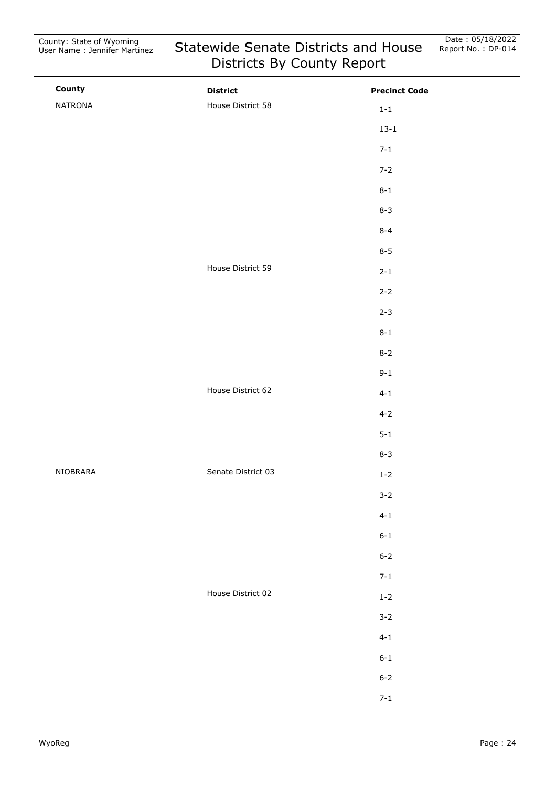| County   | <b>District</b>    | <b>Precinct Code</b> |  |
|----------|--------------------|----------------------|--|
| NATRONA  | House District 58  | $1-1\,$              |  |
|          |                    | $13 - 1$             |  |
|          |                    | $7 - 1$              |  |
|          |                    | $7 - 2$              |  |
|          |                    | $8 - 1$              |  |
|          |                    | $8 - 3$              |  |
|          |                    | $8 - 4$              |  |
|          |                    | $8 - 5$              |  |
|          | House District 59  | $2 - 1$              |  |
|          |                    | $2 - 2$              |  |
|          |                    | $2 - 3$              |  |
|          |                    | $8 - 1$              |  |
|          |                    | $8 - 2$              |  |
|          |                    | $9 - 1$              |  |
|          | House District 62  | $4 - 1$              |  |
|          |                    | $4 - 2$              |  |
|          |                    | $5 - 1$              |  |
|          |                    | $8 - 3$              |  |
| NIOBRARA | Senate District 03 | $1-2$                |  |
|          |                    | $3 - 2$              |  |
|          |                    | $4 - 1$              |  |
|          |                    | $6 - 1$              |  |
|          |                    | $6 - 2$              |  |
|          |                    | $7 - 1$              |  |
|          | House District 02  | $1-2$                |  |
|          |                    | $3 - 2$              |  |
|          |                    | $4 - 1$              |  |
|          |                    | $6 - 1$              |  |
|          |                    | $6 - 2$              |  |
|          |                    | $7 - 1$              |  |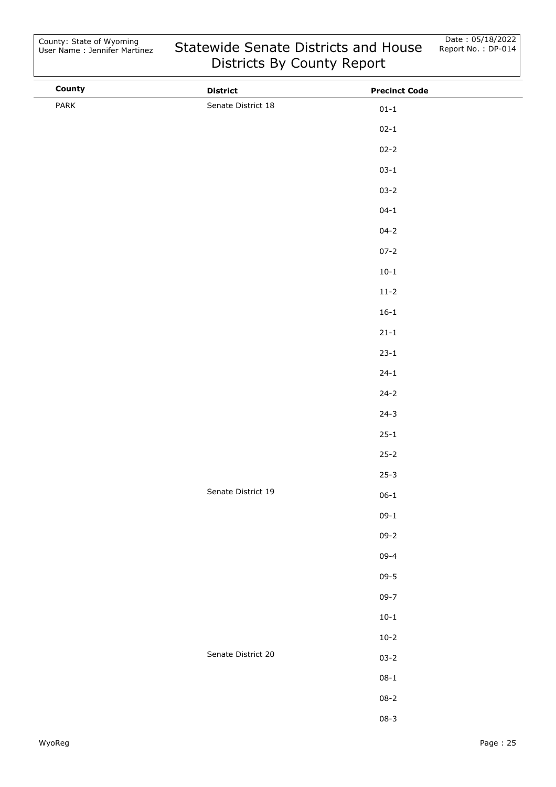| County | <b>District</b>    | <b>Precinct Code</b> |  |
|--------|--------------------|----------------------|--|
| PARK   | Senate District 18 | $01 - 1$             |  |
|        |                    | $02 - 1$             |  |
|        |                    | $02 - 2$             |  |
|        |                    | $03 - 1$             |  |
|        |                    | $03 - 2$             |  |
|        |                    | $04 - 1$             |  |
|        |                    | $04 - 2$             |  |
|        |                    | $07 - 2$             |  |
|        |                    | $10 - 1$             |  |
|        |                    | $11 - 2$             |  |
|        |                    | $16 - 1$             |  |
|        |                    | $21 - 1$             |  |
|        |                    | $23 - 1$             |  |
|        |                    | $24 - 1$             |  |
|        |                    | $24 - 2$             |  |
|        |                    | $24 - 3$             |  |
|        |                    | $25 - 1$             |  |
|        |                    | $25 - 2$             |  |
|        |                    | $25 - 3$             |  |
|        | Senate District 19 | $06 - 1$             |  |
|        |                    | $09-1$               |  |
|        |                    | $09 - 2$             |  |
|        |                    | $09 - 4$             |  |
|        |                    | $09 - 5$             |  |
|        |                    | $09 - 7$             |  |
|        |                    | $10 - 1$             |  |
|        |                    | $10 - 2$             |  |
|        | Senate District 20 | $03 - 2$             |  |
|        |                    | $08 - 1$             |  |
|        |                    | $08 - 2$             |  |
|        |                    | $08 - 3$             |  |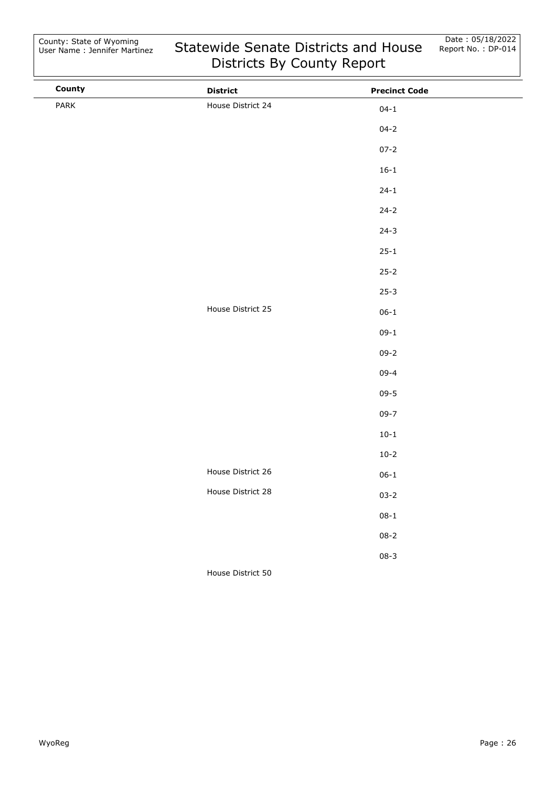| County | <b>District</b>   | <b>Precinct Code</b> |  |
|--------|-------------------|----------------------|--|
| PARK   | House District 24 | $04 - 1$             |  |
|        |                   | $04 - 2$             |  |
|        |                   | $07 - 2$             |  |
|        |                   | $16 - 1$             |  |
|        |                   | $24 - 1$             |  |
|        |                   | $24 - 2$             |  |
|        |                   | $24 - 3$             |  |
|        |                   | $25 - 1$             |  |
|        |                   | $25 - 2$             |  |
|        |                   | $25 - 3$             |  |
|        | House District 25 | $06 - 1$             |  |
|        |                   | $09-1$               |  |
|        |                   | $09 - 2$             |  |
|        |                   | $09 - 4$             |  |
|        |                   | $09 - 5$             |  |
|        |                   | $09 - 7$             |  |
|        |                   | $10 - 1$             |  |
|        |                   | $10-2$               |  |
|        | House District 26 | $06 - 1$             |  |
|        | House District 28 | $03 - 2$             |  |
|        |                   | $08 - 1$             |  |
|        |                   | $08 - 2$             |  |
|        |                   | $08 - 3$             |  |
|        | House District 50 |                      |  |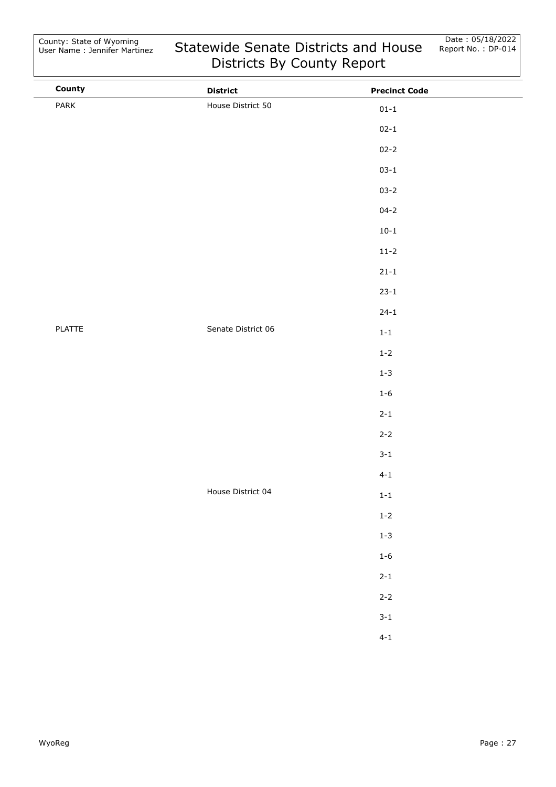| County | <b>District</b>    | <b>Precinct Code</b> |  |
|--------|--------------------|----------------------|--|
| PARK   | House District 50  | $01 - 1$             |  |
|        |                    | $02 - 1$             |  |
|        |                    | $02 - 2$             |  |
|        |                    | $03 - 1$             |  |
|        |                    | $03 - 2$             |  |
|        |                    | $04 - 2$             |  |
|        |                    | $10 - 1$             |  |
|        |                    | $11 - 2$             |  |
|        |                    | $21 - 1$             |  |
|        |                    | $23 - 1$             |  |
|        |                    | $24 - 1$             |  |
| PLATTE | Senate District 06 | $1 - 1$              |  |
|        |                    | $1 - 2$              |  |
|        |                    | $1 - 3$              |  |
|        |                    | $1 - 6$              |  |
|        |                    | $2 - 1$              |  |
|        |                    | $2 - 2$              |  |
|        |                    | $3 - 1$              |  |
|        |                    | $4 - 1$              |  |
|        | House District 04  | $1 - 1$              |  |
|        |                    | $1-2$                |  |
|        |                    | $1 - 3$              |  |
|        |                    | $1-6$                |  |
|        |                    | $2 - 1$              |  |
|        |                    | $2 - 2$              |  |
|        |                    | $3 - 1$              |  |
|        |                    | $4 - 1$              |  |
|        |                    |                      |  |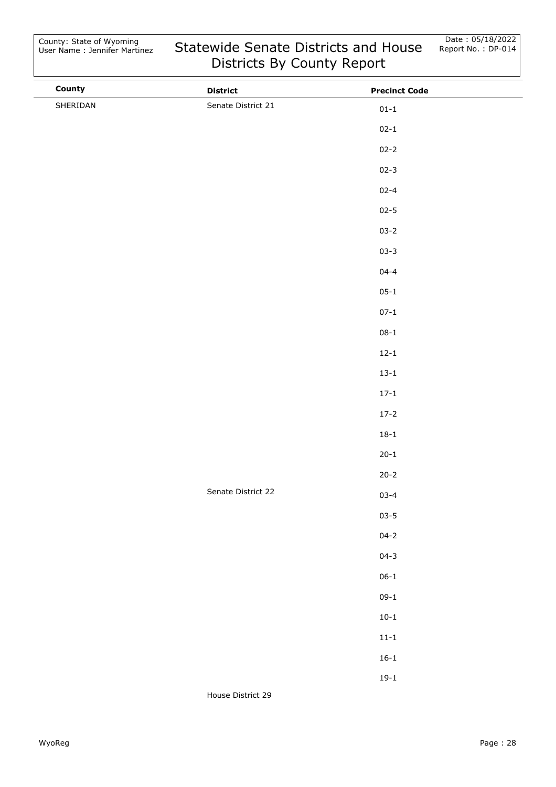| County   | <b>District</b>    | <b>Precinct Code</b> |
|----------|--------------------|----------------------|
| SHERIDAN | Senate District 21 | $01 - 1$             |
|          |                    | $02 - 1$             |
|          |                    | $02 - 2$             |
|          |                    | $02 - 3$             |
|          |                    | $02 - 4$             |
|          |                    | $02 - 5$             |
|          |                    | $03 - 2$             |
|          |                    | $03 - 3$             |
|          |                    | $04 - 4$             |
|          |                    | $05 - 1$             |
|          |                    | $07 - 1$             |
|          |                    | $08 - 1$             |
|          |                    | $12 - 1$             |
|          |                    | $13 - 1$             |
|          |                    | $17 - 1$             |
|          |                    | $17 - 2$             |
|          |                    | $18 - 1$             |
|          |                    | $20 - 1$             |
|          |                    | $20 - 2$             |
|          | Senate District 22 | $03 - 4$             |
|          |                    | $03 - 5$             |
|          |                    | $04 - 2$             |
|          |                    | $04 - 3$             |
|          |                    | $06 - 1$             |
|          |                    | $09-1$               |
|          |                    | $10 - 1$             |
|          |                    | $11 - 1$             |
|          |                    | $16 - 1$             |
|          |                    | $19-1$               |
|          | House District 29  |                      |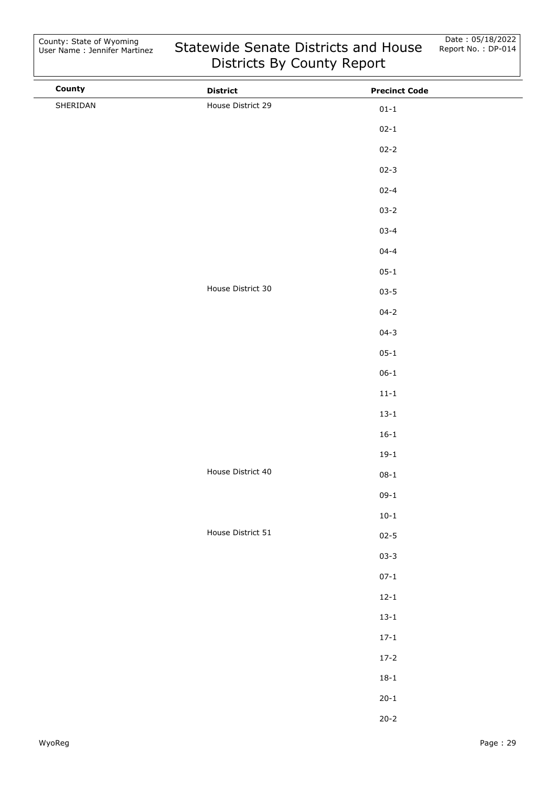| County   | <b>District</b>   | <b>Precinct Code</b> |
|----------|-------------------|----------------------|
| SHERIDAN | House District 29 | $01 - 1$             |
|          |                   | $02 - 1$             |
|          |                   | $02 - 2$             |
|          |                   | $02 - 3$             |
|          |                   | $02 - 4$             |
|          |                   | $03 - 2$             |
|          |                   | $03 - 4$             |
|          |                   | $04 - 4$             |
|          |                   | $05 - 1$             |
|          | House District 30 | $03 - 5$             |
|          |                   | $04 - 2$             |
|          |                   | $04 - 3$             |
|          |                   | $05 - 1$             |
|          |                   | $06 - 1$             |
|          |                   | $11 - 1$             |
|          |                   | $13 - 1$             |
|          |                   | $16 - 1$             |
|          |                   | $19-1$               |
|          | House District 40 | $08 - 1$             |
|          |                   | $09-1$               |
|          |                   | $10 - 1$             |
|          | House District 51 | $02 - 5$             |
|          |                   | $03 - 3$             |
|          |                   | $07 - 1$             |
|          |                   | $12 - 1$             |
|          |                   | $13 - 1$             |
|          |                   | $17 - 1$             |
|          |                   | $17 - 2$             |
|          |                   | $18 - 1$             |
|          |                   | $20 - 1$             |
|          |                   | $20 - 2$             |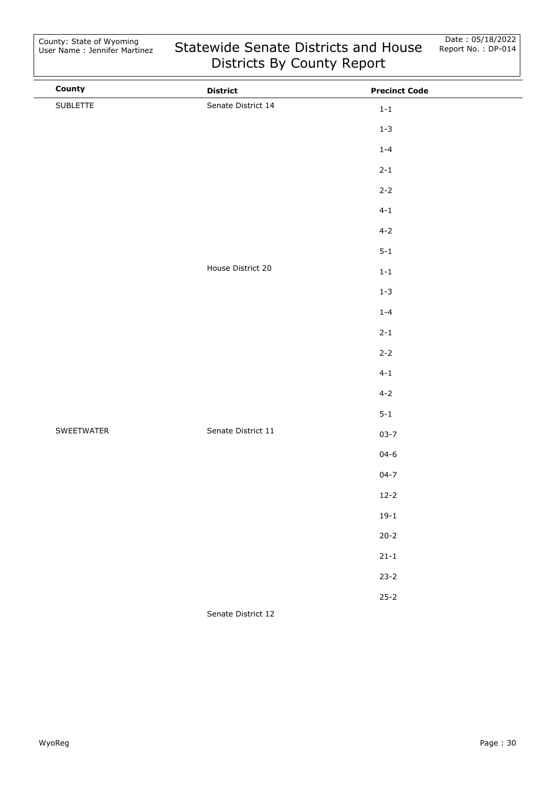| County     | <b>District</b>    | <b>Precinct Code</b> |  |
|------------|--------------------|----------------------|--|
| SUBLETTE   | Senate District 14 | $1 - 1$              |  |
|            |                    | $1 - 3$              |  |
|            |                    | $1 - 4$              |  |
|            |                    | $2 - 1$              |  |
|            |                    | $2 - 2$              |  |
|            |                    | $4 - 1$              |  |
|            |                    | $4 - 2$              |  |
|            |                    | $5 - 1$              |  |
|            | House District 20  | $1 - 1$              |  |
|            |                    | $1 - 3$              |  |
|            |                    | $1 - 4$              |  |
|            |                    | $2 - 1$              |  |
|            |                    | $2 - 2$              |  |
|            |                    | $4 - 1$              |  |
|            |                    | $4 - 2$              |  |
|            |                    | $5 - 1$              |  |
| SWEETWATER | Senate District 11 | $03 - 7$             |  |
|            |                    | $04 - 6$             |  |
|            |                    | $04 - 7$             |  |
|            |                    | $12 - 2$             |  |
|            |                    | $19-1$               |  |
|            |                    | $20 - 2$             |  |
|            |                    | $21 - 1$             |  |
|            |                    | $23 - 2$             |  |
|            |                    | $25 - 2$             |  |
|            |                    |                      |  |

Senate District 12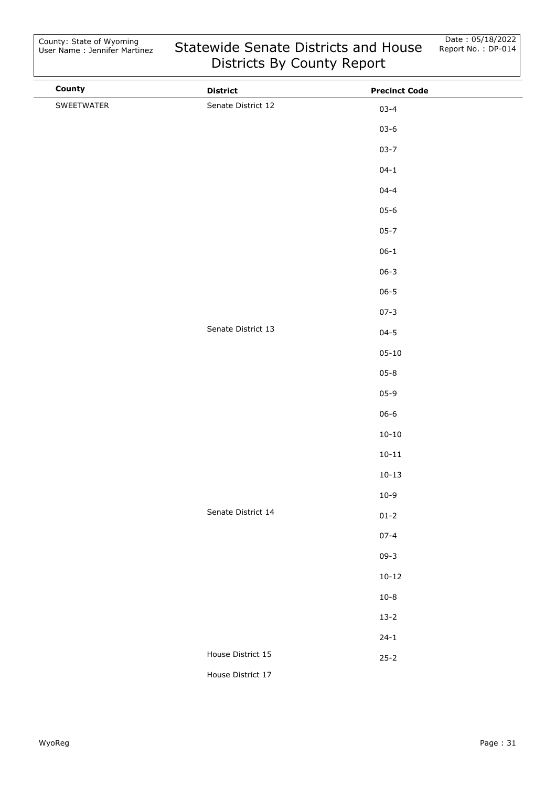| County     | <b>District</b>    | <b>Precinct Code</b> |  |
|------------|--------------------|----------------------|--|
| SWEETWATER | Senate District 12 | $03 - 4$             |  |
|            |                    | $03 - 6$             |  |
|            |                    | $03 - 7$             |  |
|            |                    | $04 - 1$             |  |
|            |                    | $04 - 4$             |  |
|            |                    | $05 - 6$             |  |
|            |                    | $05 - 7$             |  |
|            |                    | $06 - 1$             |  |
|            |                    | $06 - 3$             |  |
|            |                    | $06 - 5$             |  |
|            |                    | $07 - 3$             |  |
|            | Senate District 13 | $04 - 5$             |  |
|            |                    | $05 - 10$            |  |
|            |                    | $05 - 8$             |  |
|            |                    | $05 - 9$             |  |
|            |                    | $06 - 6$             |  |
|            |                    | $10 - 10$            |  |
|            |                    | $10 - 11$            |  |
|            |                    | $10 - 13$            |  |
|            |                    | $10-9$               |  |
|            | Senate District 14 | $01 - 2$             |  |
|            |                    | $07 - 4$             |  |
|            |                    | $09 - 3$             |  |
|            |                    | $10 - 12$            |  |
|            |                    | $10 - 8$             |  |
|            |                    | $13 - 2$             |  |
|            |                    | $24 - 1$             |  |
|            | House District 15  | $25 - 2$             |  |
|            | House District 17  |                      |  |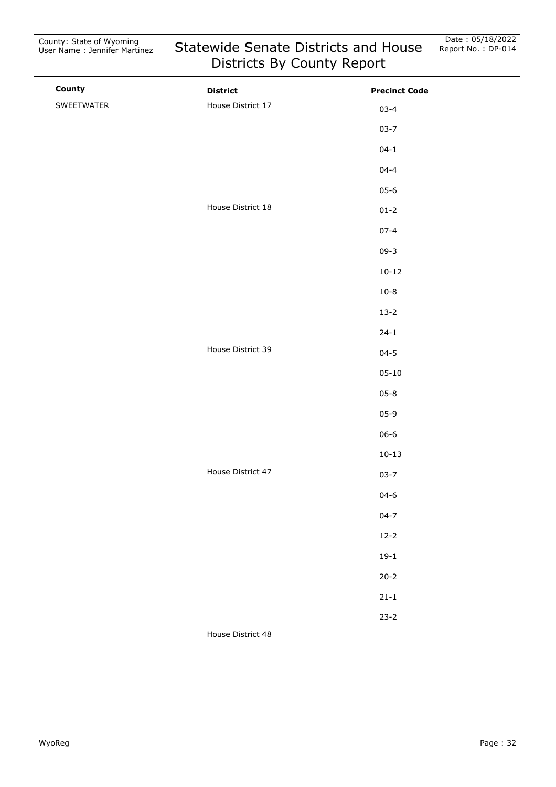| County     | <b>District</b>   | <b>Precinct Code</b> |  |
|------------|-------------------|----------------------|--|
| SWEETWATER | House District 17 | $03 - 4$             |  |
|            |                   | $03 - 7$             |  |
|            |                   | $04 - 1$             |  |
|            |                   | $04 - 4$             |  |
|            |                   | $05 - 6$             |  |
|            | House District 18 | $01 - 2$             |  |
|            |                   | $07 - 4$             |  |
|            |                   | $09 - 3$             |  |
|            |                   | $10 - 12$            |  |
|            |                   | $10 - 8$             |  |
|            |                   | $13 - 2$             |  |
|            |                   | $24 - 1$             |  |
|            | House District 39 | $04 - 5$             |  |
|            |                   | $05 - 10$            |  |
|            |                   | $05 - 8$             |  |
|            |                   | $05 - 9$             |  |
|            |                   | $06 - 6$             |  |
|            |                   | $10 - 13$            |  |
|            | House District 47 | $03 - 7$             |  |
|            |                   | $04 - 6$             |  |
|            |                   | $04 - 7$             |  |
|            |                   | $12 - 2$             |  |
|            |                   | $19-1$               |  |
|            |                   | $20 - 2$             |  |
|            |                   | $21 - 1$             |  |
|            |                   | $23 - 2$             |  |
|            | House District 48 |                      |  |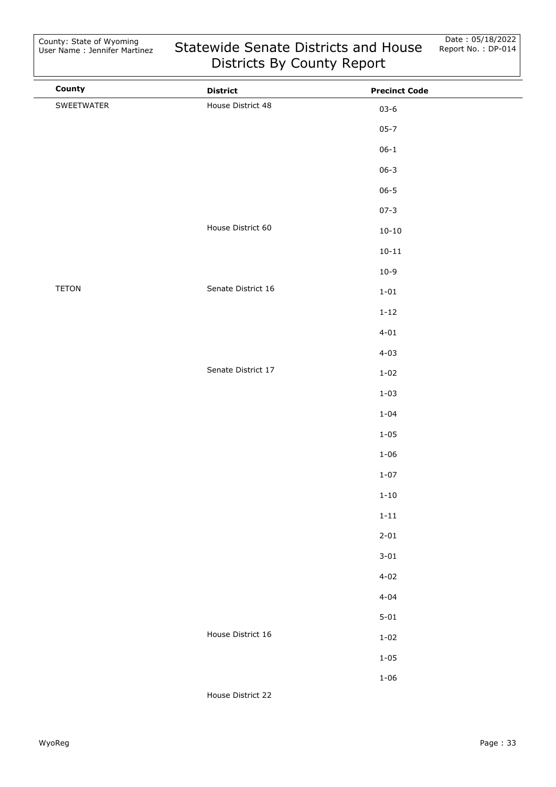County: State of Wyoming User Name : Jennifer Martinez

| County       | <b>District</b>    | <b>Precinct Code</b> |  |
|--------------|--------------------|----------------------|--|
| SWEETWATER   | House District 48  | $03 - 6$             |  |
|              |                    | $05 - 7$             |  |
|              |                    | $06 - 1$             |  |
|              |                    | $06 - 3$             |  |
|              |                    | $06 - 5$             |  |
|              |                    | $07 - 3$             |  |
|              | House District 60  | $10 - 10$            |  |
|              |                    | $10 - 11$            |  |
|              |                    | $10-9$               |  |
| <b>TETON</b> | Senate District 16 | $1 - 01$             |  |
|              |                    | $1 - 12$             |  |
|              |                    | $4 - 01$             |  |
|              |                    | $4 - 03$             |  |
|              | Senate District 17 | $1 - 02$             |  |
|              |                    | $1 - 03$             |  |
|              |                    | $1 - 04$             |  |
|              |                    | $1 - 05$             |  |
|              |                    | $1 - 06$             |  |
|              |                    | $1 - 07$             |  |
|              |                    | $1 - 10$             |  |
|              |                    | $1 - 11$             |  |
|              |                    | $2 - 01$             |  |
|              |                    | $3 - 01$             |  |
|              |                    | $4 - 02$             |  |
|              |                    | $4 - 04$             |  |
|              |                    | $5 - 01$             |  |
|              | House District 16  | $1 - 02$             |  |
|              |                    | $1 - 05$             |  |
|              |                    | $1 - 06$             |  |
|              | House District 22  |                      |  |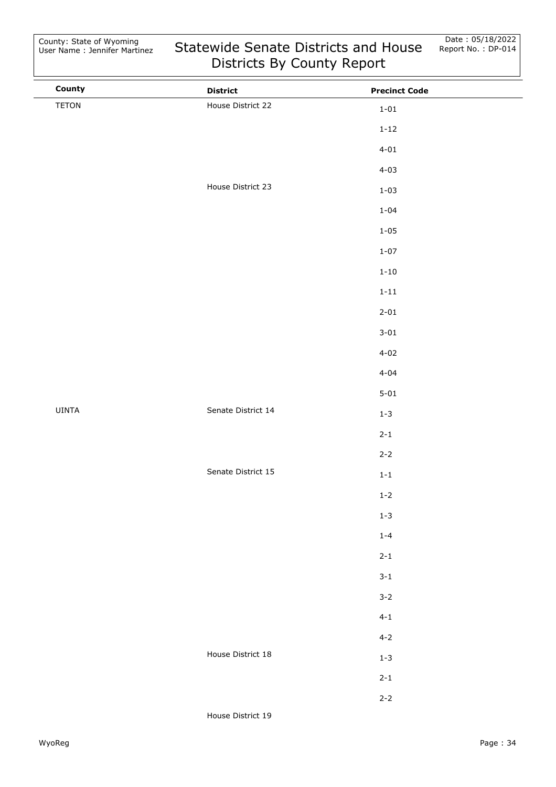| House District 22  |              |  |
|--------------------|--------------|--|
|                    | $1 - 01$     |  |
|                    | $1 - 12$     |  |
|                    | $4 - 01$     |  |
|                    | $4 - 03$     |  |
| House District 23  | $1 - 03$     |  |
|                    | $1 - 04$     |  |
|                    | $1 - 05$     |  |
|                    | $1 - 07$     |  |
|                    | $1 - 10$     |  |
|                    | $1 - 11$     |  |
|                    | $2 - 01$     |  |
|                    | $3 - 01$     |  |
|                    | $4 - 02$     |  |
|                    | $4 - 04$     |  |
|                    | $5 - 01$     |  |
| Senate District 14 | $1 - 3$      |  |
|                    | $2 - 1$      |  |
|                    | $2 - 2$      |  |
| Senate District 15 | $1\mbox{-}1$ |  |
|                    | $1 - 2$      |  |
|                    | $1 - 3$      |  |
|                    | $1 - 4$      |  |
|                    | $2 - 1$      |  |
|                    | $3 - 1$      |  |
|                    | $3 - 2$      |  |
|                    | $4 - 1$      |  |
|                    | $4 - 2$      |  |
| House District 18  | $1 - 3$      |  |
|                    | $2 - 1$      |  |
|                    | $2 - 2$      |  |
|                    |              |  |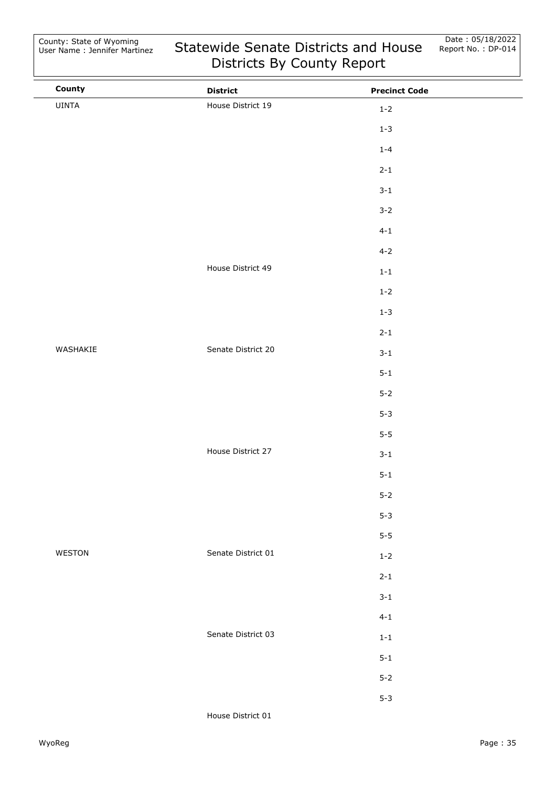| County   | <b>District</b>    | <b>Precinct Code</b> |  |
|----------|--------------------|----------------------|--|
| UINTA    | House District 19  | $1 - 2$              |  |
|          |                    | $1 - 3$              |  |
|          |                    | $1 - 4$              |  |
|          |                    | $2 - 1$              |  |
|          |                    | $3 - 1$              |  |
|          |                    | $3 - 2$              |  |
|          |                    | $4 - 1$              |  |
|          |                    | $4 - 2$              |  |
|          | House District 49  | $1\,\hbox{-}\,1$     |  |
|          |                    | $1 - 2$              |  |
|          |                    | $1 - 3$              |  |
|          |                    | $2 - 1$              |  |
| WASHAKIE | Senate District 20 | $3 - 1$              |  |
|          |                    | $5 - 1$              |  |
|          |                    | $5 - 2$              |  |
|          |                    | $5 - 3$              |  |
|          |                    | $5-5$                |  |
|          | House District 27  | $3 - 1$              |  |
|          |                    | $5 - 1$              |  |
|          |                    | $5 - 2$              |  |
|          |                    | $5 - 3$              |  |
|          |                    | $5-5$                |  |
| WESTON   | Senate District 01 | $1 - 2$              |  |
|          |                    | $2 - 1$              |  |
|          |                    | $3 - 1$              |  |
|          |                    | $4 - 1$              |  |
|          | Senate District 03 | $1-1\,$              |  |
|          |                    | $5 - 1$              |  |
|          |                    | $5 - 2$              |  |
|          |                    | $5 - 3$              |  |
|          |                    |                      |  |